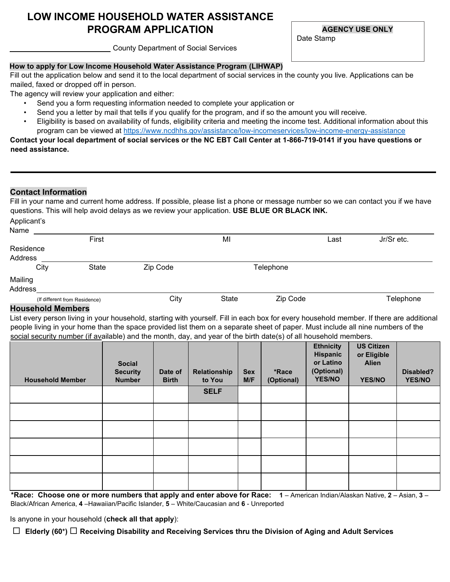# **LOW INCOME HOUSEHOLD WATER ASSISTANCE PROGRAM APPLICATION**

**AGENCY USE ONLY**

Date Stamp

County Department of Social Services

## **How to apply for Low Income Household Water Assistance Program (LIHWAP)**

Fill out the application below and send it to the local department of social services in the county you live. Applications can be mailed, faxed or dropped off in person.

The agency will review your application and either:

- Send you a form requesting information needed to complete your application or
- Send you a letter by mail that tells if you qualify for the program, and if so the amount you will receive.
- Eligibility is based on availability of funds, eligibility criteria and meeting the income test. Additional information about this program can be viewed at [https://www.ncdhhs.gov/assistance/low-incomeservices/low-income-energy-assistance](https://www.ncdhhs.gov/assistance/low-income-services/low-income-energy-assistance)

**Contact your local department of social services or the NC EBT Call Center at 1-866-719-0141 if you have questions or need assistance.** 

## **Contact Information**

Fill in your name and current home address. If possible, please list a phone or message number so we can contact you if we have questions. This will help avoid delays as we review your application. **USE BLUE OR BLACK INK.** Applicant's

| <b>Tipplioanto</b> |                               |       |          |       |           |      |            |
|--------------------|-------------------------------|-------|----------|-------|-----------|------|------------|
| Name               |                               |       |          |       |           |      |            |
|                    |                               | First |          | MI    |           | Last | Jr/Sr etc. |
| Residence          |                               |       |          |       |           |      |            |
| Address            |                               |       |          |       |           |      |            |
|                    | City                          | State | Zip Code |       | Telephone |      |            |
| Mailing            |                               |       |          |       |           |      |            |
| Address            |                               |       |          |       |           |      |            |
|                    | (If different from Residence) |       | City     | State | Zip Code  |      | Telephone  |

## **Household Members**

List every person living in your household, starting with yourself. Fill in each box for every household member. If there are additional people living in your home than the space provided list them on a separate sheet of paper. Must include all nine numbers of the social security number (if available) and the month, day, and year of the birth date(s) of all household members.

| <b>Household Member</b> | <b>Social</b><br><b>Security</b><br><b>Number</b> | Date of<br><b>Birth</b> | Relationship<br>to You | <b>Sex</b><br>M/F | *Race<br>(Optional) | <b>Ethnicity</b><br>Hispanic<br>or Latino<br>(Optional)<br><b>YES/NO</b> | <b>US Citizen</b><br>or Eligible<br><b>Alien</b><br><b>YES/NO</b> | Disabled?<br><b>YES/NO</b> |
|-------------------------|---------------------------------------------------|-------------------------|------------------------|-------------------|---------------------|--------------------------------------------------------------------------|-------------------------------------------------------------------|----------------------------|
|                         |                                                   |                         | <b>SELF</b>            |                   |                     |                                                                          |                                                                   |                            |
|                         |                                                   |                         |                        |                   |                     |                                                                          |                                                                   |                            |
|                         |                                                   |                         |                        |                   |                     |                                                                          |                                                                   |                            |
|                         |                                                   |                         |                        |                   |                     |                                                                          |                                                                   |                            |
|                         |                                                   |                         |                        |                   |                     |                                                                          |                                                                   |                            |
|                         |                                                   |                         |                        |                   |                     |                                                                          |                                                                   |                            |

**\*Race: Choose one or more numbers that apply and enter above for Race: 1** – American Indian/Alaskan Native, **2** – Asian, **3** – Black/African America, **4** –Hawaiian/Pacific Islander, **5** – White/Caucasian and **6** - Unreported

Is anyone in your household (**check all that apply**):

**Elderly (60+) Receiving Disability and Receiving Services thru the Division of Aging and Adult Services**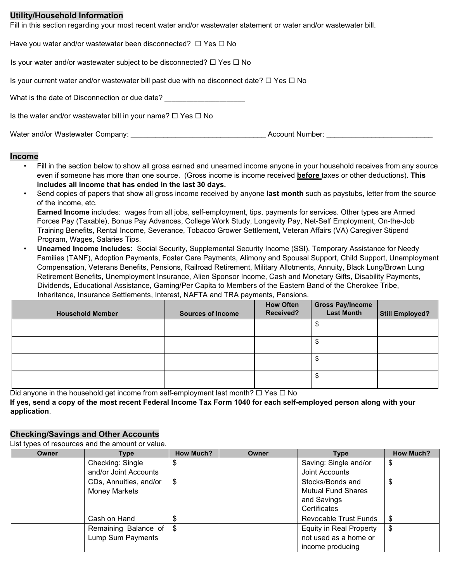#### **Utility/Household Information**

Fill in this section regarding your most recent water and/or wastewater statement or water and/or wastewater bill.

| Water and/or Wastewater Company:                                                                          | Account Number: |  |  |
|-----------------------------------------------------------------------------------------------------------|-----------------|--|--|
| Is the water and/or wastewater bill in your name? $\Box$ Yes $\Box$ No                                    |                 |  |  |
| What is the date of Disconnection or due date?                                                            |                 |  |  |
| Is your current water and/or wastewater bill past due with no disconnect date? $\square$ Yes $\square$ No |                 |  |  |
| Is your water and/or wastewater subject to be disconnected? $\Box$ Yes $\Box$ No                          |                 |  |  |
| Have you water and/or wastewater been disconnected? $\Box$ Yes $\Box$ No                                  |                 |  |  |

#### **Income**

- Fill in the section below to show all gross earned and unearned income anyone in your household receives from any source even if someone has more than one source. (Gross income is income received **before** taxes or other deductions). **This includes all income that has ended in the last 30 days.**
- Send copies of papers that show all gross income received by anyone **last month** such as paystubs, letter from the source of the income, etc.

**Earned Income** includes: wages from all jobs, self-employment, tips, payments for services. Other types are Armed Forces Pay (Taxable), Bonus Pay Advances, College Work Study, Longevity Pay, Net-Self Employment, On-the-Job Training Benefits, Rental Income, Severance, Tobacco Grower Settlement, Veteran Affairs (VA) Caregiver Stipend Program, Wages, Salaries Tips.

• **Unearned Income includes:** Social Security, Supplemental Security Income (SSI), Temporary Assistance for Needy Families (TANF), Adoption Payments, Foster Care Payments, Alimony and Spousal Support, Child Support, Unemployment Compensation, Veterans Benefits, Pensions, Railroad Retirement, Military Allotments, Annuity, Black Lung/Brown Lung Retirement Benefits, Unemployment Insurance, Alien Sponsor Income, Cash and Monetary Gifts, Disability Payments, Dividends, Educational Assistance, Gaming/Per Capita to Members of the Eastern Band of the Cherokee Tribe, Inheritance, Insurance Settlements, Interest, NAFTA and TRA payments, Pensions.

| <b>Household Member</b> | <b>Sources of Income</b> | <b>How Often</b><br>Received? | <b>Gross Pay/Income</b><br><b>Last Month</b> | Still Employed? |
|-------------------------|--------------------------|-------------------------------|----------------------------------------------|-----------------|
|                         |                          |                               | A.                                           |                 |
|                         |                          |                               | ъD                                           |                 |
|                         |                          |                               |                                              |                 |
|                         |                          |                               | J                                            |                 |

Did anyone in the household get income from self-employment last month?  $\Box$  Yes  $\Box$  No **If yes, send a copy of the most recent Federal Income Tax Form 1040 for each self-employed person along with your application**.

## **Checking/Savings and Other Accounts**

List types of resources and the amount or value.

| Owner | Type                                    | <b>How Much?</b> | Owner | Type                                                                         | <b>How Much?</b> |
|-------|-----------------------------------------|------------------|-------|------------------------------------------------------------------------------|------------------|
|       | Checking: Single                        | \$               |       | Saving: Single and/or                                                        | \$               |
|       | and/or Joint Accounts                   |                  |       | Joint Accounts                                                               |                  |
|       | CDs, Annuities, and/or<br>Money Markets | \$               |       | Stocks/Bonds and<br><b>Mutual Fund Shares</b><br>and Savings<br>Certificates | \$               |
|       | Cash on Hand                            |                  |       | Revocable Trust Funds                                                        | \$               |
|       | Remaining Balance of                    | \$               |       | <b>Equity in Real Property</b>                                               | \$               |
|       | Lump Sum Payments                       |                  |       | not used as a home or<br>income producing                                    |                  |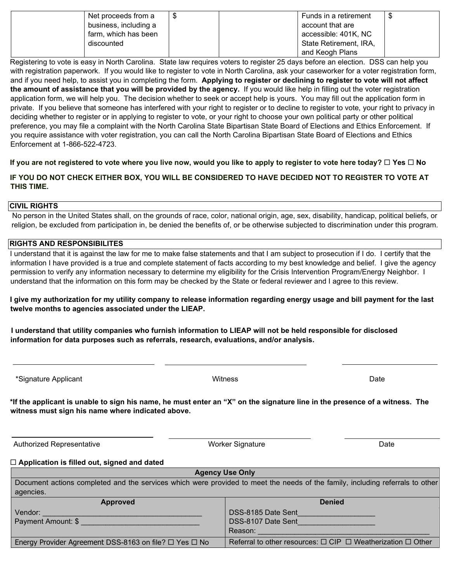| Net proceeds from a   |  | Funds in a retirement  | -\$ |
|-----------------------|--|------------------------|-----|
| business, including a |  | account that are       |     |
| farm, which has been  |  | accessible: 401K, NC   |     |
| discounted            |  | State Retirement, IRA, |     |
|                       |  | and Keogh Plans        |     |

Registering to vote is easy in North Carolina. State law requires voters to register 25 days before an election. DSS can help you with registration paperwork. If you would like to register to vote in North Carolina, ask your caseworker for a voter registration form, and if you need help, to assist you in completing the form. **Applying to register or declining to register to vote will not affect the amount of assistance that you will be provided by the agency.** If you would like help in filling out the voter registration application form, we will help you. The decision whether to seek or accept help is yours. You may fill out the application form in private. If you believe that someone has interfered with your right to register or to decline to register to vote, your right to privacy in deciding whether to register or in applying to register to vote, or your right to choose your own political party or other political preference, you may file a complaint with the North Carolina State Bipartisan State Board of Elections and Ethics Enforcement. If you require assistance with voter registration, you can call the North Carolina Bipartisan State Board of Elections and Ethics Enforcement at 1-866-522-4723.

**If you are not registered to vote where you live now, would you like to apply to register to vote here today? □ Yes □ No** 

**IF YOU DO NOT CHECK EITHER BOX, YOU WILL BE CONSIDERED TO HAVE DECIDED NOT TO REGISTER TO VOTE AT THIS TIME.** 

#### **CIVIL RIGHTS**

No person in the United States shall, on the grounds of race, color, national origin, age, sex, disability, handicap, political beliefs, or religion, be excluded from participation in, be denied the benefits of, or be otherwise subjected to discrimination under this program.

### **RIGHTS AND RESPONSIBILITES**

I understand that it is against the law for me to make false statements and that I am subject to prosecution if I do. I certify that the information I have provided is a true and complete statement of facts according to my best knowledge and belief. I give the agency permission to verify any information necessary to determine my eligibility for the Crisis Intervention Program/Energy Neighbor. I understand that the information on this form may be checked by the State or federal reviewer and I agree to this review.

**I give my authorization for my utility company to release information regarding energy usage and bill payment for the last twelve months to agencies associated under the LIEAP.** 

**I understand that utility companies who furnish information to LIEAP will not be held responsible for disclosed information for data purposes such as referrals, research, evaluations, and/or analysis.** 

| *Signature Applicant | Witness | Date |
|----------------------|---------|------|

**\*If the applicant is unable to sign his name, he must enter an "X" on the signature line in the presence of a witness. The witness must sign his name where indicated above.** 

Authorized Representative **Notable 2018** Worker Signature Worker Signature **Notable 2018** 

**Application is filled out, signed and dated** 

**Agency Use Only**  Document actions completed and the services which were provided to meet the needs of the family, including referrals to other agencies.

| <b>Approved</b>                                        | <b>Denied</b>                                                              |  |  |
|--------------------------------------------------------|----------------------------------------------------------------------------|--|--|
| Vendor:                                                | DSS-8185 Date Sent                                                         |  |  |
| Payment Amount: \$                                     | DSS-8107 Date Sent                                                         |  |  |
|                                                        | Reason:                                                                    |  |  |
| Energy Provider Agreement DSS-8163 on file? □ Yes □ No | Referral to other resources: $\Box$ CIP $\Box$ Weatherization $\Box$ Other |  |  |